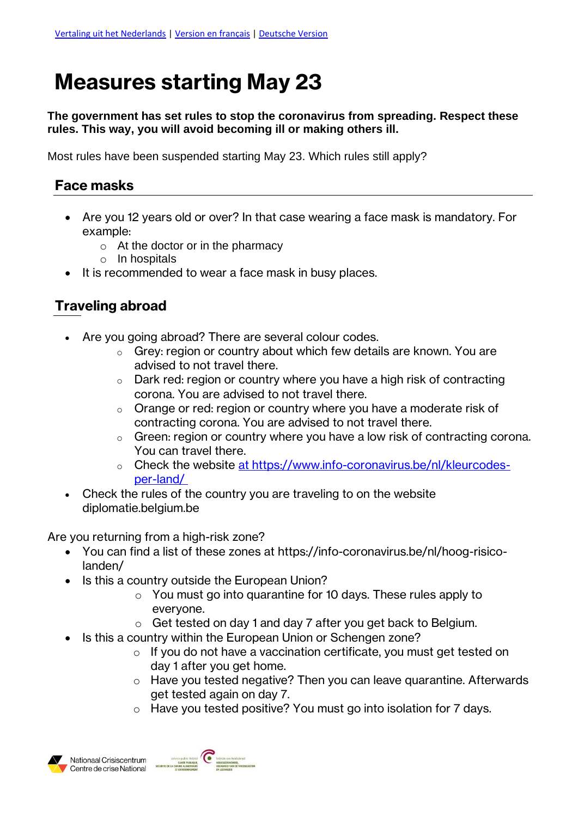## **Measures starting May 23**

**The government has set rules to stop the coronavirus from spreading. Respect these rules. This way, you will avoid becoming ill or making others ill.** 

Most rules have been suspended starting May 23. Which rules still apply?

## **Face masks**

- Are you 12 years old or over? In that case wearing a face mask is mandatory. For example:
	- $\circ$  At the doctor or in the pharmacy
	- o In hospitals
- It is recommended to wear a face mask in busy places.

## **Traveling abroad**

- Are you going abroad? There are several colour codes.
	- $\circ$  Grey: region or country about which few details are known. You are advised to not travel there.
	- $\circ$  Dark red: region or country where you have a high risk of contracting corona. You are advised to not travel there.
	- $\circ$  Orange or red: region or country where you have a moderate risk of contracting corona. You are advised to not travel there.
	- o Green: region or country where you have a low risk of contracting corona. You can travel there.
	- o Check the website [at https://www.info-coronavirus.be/nl/kleurcodes](athttps://www.info-coronavirus.be/nl/kleurcodes-per-land/)[per-land/](athttps://www.info-coronavirus.be/nl/kleurcodes-per-land/)
- Check the rules of the country you are traveling to on the website diplomatie.belgium.be

Are you returning from a high-risk zone?

- You can find a list of these zones at [https://info-coronavirus.be/nl/hoog-risico](https://info-coronavirus.be/nl/hoog-risico-landen/)[landen/](https://info-coronavirus.be/nl/hoog-risico-landen/)
- Is this a country outside the European Union?
	- o You must go into quarantine for 10 days. These rules apply to everyone.
	- o Get tested on day 1 and day 7 after you get back to Belgium.
- Is this a country within the European Union or Schengen zone?
	- o If you do not have a vaccination certificate, you must get tested on day 1 after you get home.
	- o Have you tested negative? Then you can leave quarantine. Afterwards get tested again on day 7.
	- o Have you tested positive? You must go into isolation for 7 days.